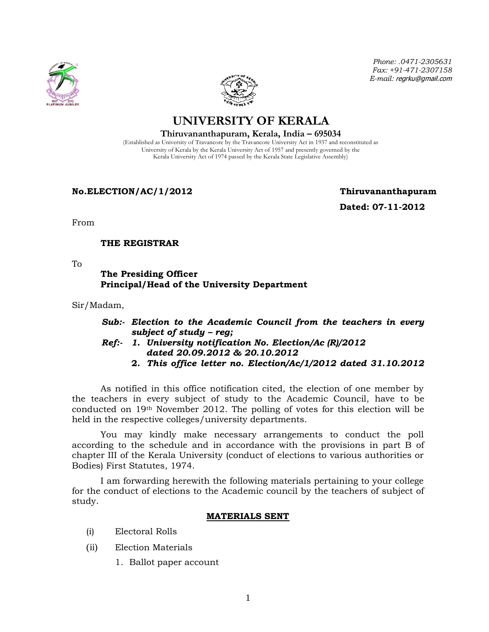



*Phone: .0471-2305631 Fax: +91-471-2307158 E-mail:* regrku@gmail.com

**UNIVERSITY OF KERALA Thiruvananthapuram, Kerala, India – 695034**

(Established as University of Travancore by the Travancore University Act in 1937 and reconstituted as University of Kerala by the Kerala University Act of 1957 and presently governed by the Kerala University Act of 1974 passed by the Kerala State Legislative Assembly)

**No.ELECTION/AC/1/2012 Thiruvananthapuram**

 **Dated: 07-11-2012**

From

## **THE REGISTRAR**

To

## **The Presiding Officer Principal/Head of the University Department**

Sir/Madam,

- *Sub:- Election to the Academic Council from the teachers in every subject of study – reg;*
- *Ref:- 1. University notification No. Election/Ac (R)/2012 dated 20.09.2012 & 20.10.2012*
	- **2.** *This office letter no. Election/Ac/1/2012 dated 31.10.2012*

As notified in this office notification cited, the election of one member by the teachers in every subject of study to the Academic Council, have to be conducted on 19th November 2012. The polling of votes for this election will be held in the respective colleges/university departments.

You may kindly make necessary arrangements to conduct the poll according to the schedule and in accordance with the provisions in part B of chapter III of the Kerala University (conduct of elections to various authorities or Bodies) First Statutes, 1974.

I am forwarding herewith the following materials pertaining to your college for the conduct of elections to the Academic council by the teachers of subject of study.

## **MATERIALS SENT**

- (i) Electoral Rolls
- (ii) Election Materials
	- 1. Ballot paper account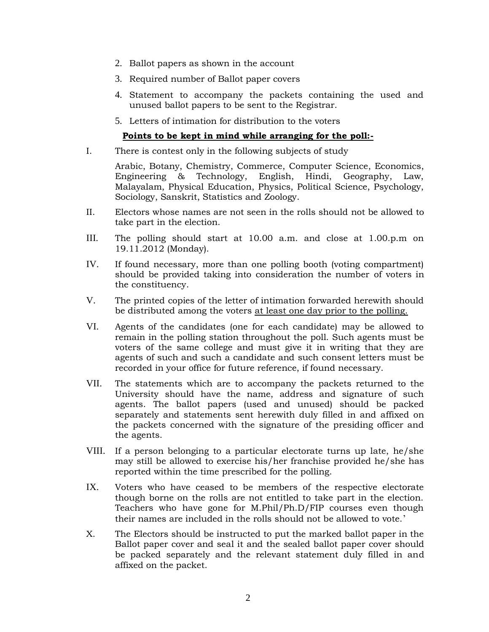- 2. Ballot papers as shown in the account
- 3. Required number of Ballot paper covers
- 4. Statement to accompany the packets containing the used and unused ballot papers to be sent to the Registrar.
- 5. Letters of intimation for distribution to the voters

## **Points to be kept in mind while arranging for the poll:-**

I. There is contest only in the following subjects of study

Arabic, Botany, Chemistry, Commerce, Computer Science, Economics, Engineering & Technology, English, Hindi, Geography, Law, Malayalam, Physical Education, Physics, Political Science, Psychology, Sociology, Sanskrit, Statistics and Zoology.

- II. Electors whose names are not seen in the rolls should not be allowed to take part in the election.
- III. The polling should start at 10.00 a.m. and close at 1.00.p.m on 19.11.2012 (Monday).
- IV. If found necessary, more than one polling booth (voting compartment) should be provided taking into consideration the number of voters in the constituency.
- V. The printed copies of the letter of intimation forwarded herewith should be distributed among the voters at least one day prior to the polling.
- VI. Agents of the candidates (one for each candidate) may be allowed to remain in the polling station throughout the poll. Such agents must be voters of the same college and must give it in writing that they are agents of such and such a candidate and such consent letters must be recorded in your office for future reference, if found necessary.
- VII. The statements which are to accompany the packets returned to the University should have the name, address and signature of such agents. The ballot papers (used and unused) should be packed separately and statements sent herewith duly filled in and affixed on the packets concerned with the signature of the presiding officer and the agents.
- VIII. If a person belonging to a particular electorate turns up late, he/she may still be allowed to exercise his/her franchise provided he/she has reported within the time prescribed for the polling.
- IX. Voters who have ceased to be members of the respective electorate though borne on the rolls are not entitled to take part in the election. Teachers who have gone for M.Phil/Ph.D/FIP courses even though their names are included in the rolls should not be allowed to vote.'
- X. The Electors should be instructed to put the marked ballot paper in the Ballot paper cover and seal it and the sealed ballot paper cover should be packed separately and the relevant statement duly filled in and affixed on the packet.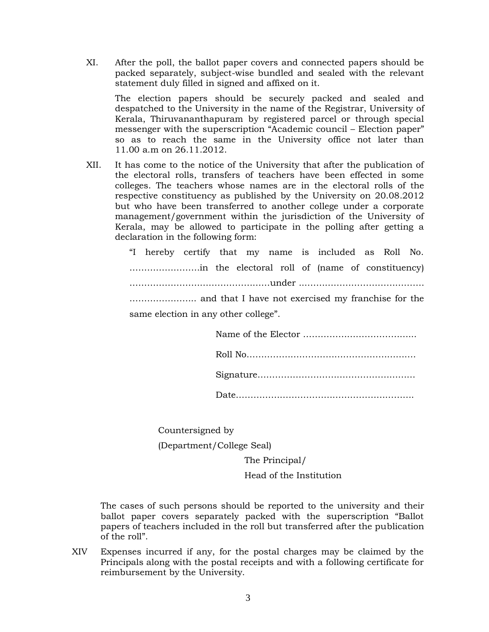XI. After the poll, the ballot paper covers and connected papers should be packed separately, subject-wise bundled and sealed with the relevant statement duly filled in signed and affixed on it.

The election papers should be securely packed and sealed and despatched to the University in the name of the Registrar, University of Kerala, Thiruvananthapuram by registered parcel or through special messenger with the superscription "Academic council – Election paper" so as to reach the same in the University office not later than 11.00 a.m on 26.11.2012.

XII. It has come to the notice of the University that after the publication of the electoral rolls, transfers of teachers have been effected in some colleges. The teachers whose names are in the electoral rolls of the respective constituency as published by the University on 20.08.2012 but who have been transferred to another college under a corporate management/government within the jurisdiction of the University of Kerala, may be allowed to participate in the polling after getting a declaration in the following form:

> "I hereby certify that my name is included as Roll No. ……………………in the electoral roll of (name of constituency) …………………………………………under ...…………………………………. ………………….. and that I have not exercised my franchise for the same election in any other college".

Countersigned by

(Department/College Seal)

The Principal/

Head of the Institution

The cases of such persons should be reported to the university and their ballot paper covers separately packed with the superscription "Ballot papers of teachers included in the roll but transferred after the publication of the roll".

XIV Expenses incurred if any, for the postal charges may be claimed by the Principals along with the postal receipts and with a following certificate for reimbursement by the University.